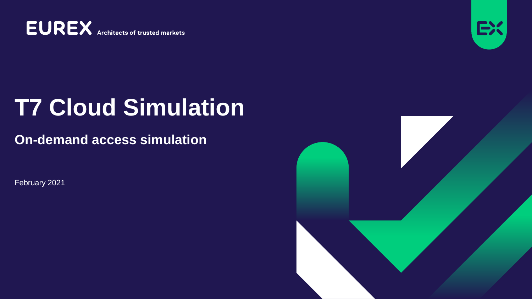**EUREX** Architects of trusted markets



# **T7 Cloud Simulation**

#### **On-demand access simulation**

February 2021

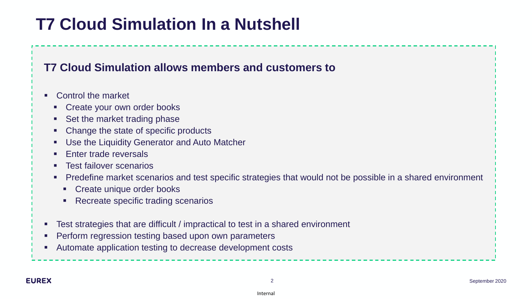# **T7 Cloud Simulation In a Nutshell**

#### **T7 Cloud Simulation allows members and customers to**

- Control the market
	- Create your own order books
	- Set the market trading phase
	- Change the state of specific products
	- Use the Liquidity Generator and Auto Matcher
	- **Enter trade reversals**
	- Test failover scenarios
	- Predefine market scenarios and test specific strategies that would not be possible in a shared environment
		- Create unique order books
		- Recreate specific trading scenarios
- Test strategies that are difficult / impractical to test in a shared environment
- **Perform regression testing based upon own parameters**
- Automate application testing to decrease development costs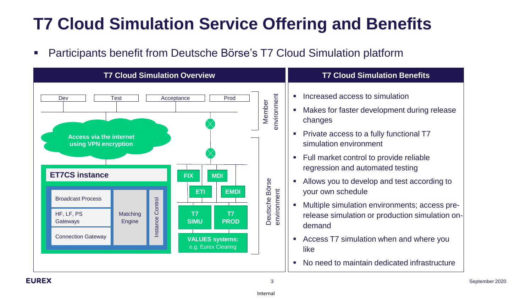# **T7 Cloud Simulation Service Offering and Benefits**

■ Participants benefit from Deutsche Börse's T7 Cloud Simulation platform



3 September 2020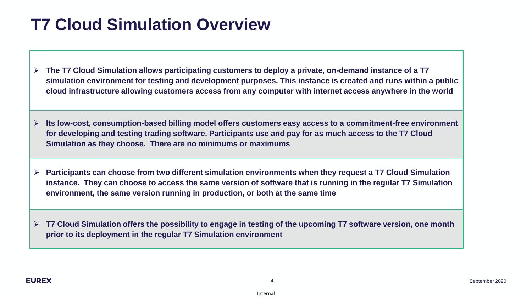#### **T7 Cloud Simulation Overview**

- ➢ **The T7 Cloud Simulation allows participating customers to deploy a private, on-demand instance of a T7 simulation environment for testing and development purposes. This instance is created and runs within a public cloud infrastructure allowing customers access from any computer with internet access anywhere in the world**
- ➢ **Its low-cost, consumption-based billing model offers customers easy access to a commitment-free environment for developing and testing trading software. Participants use and pay for as much access to the T7 Cloud Simulation as they choose. There are no minimums or maximums**
- ➢ **Participants can choose from two different simulation environments when they request a T7 Cloud Simulation instance. They can choose to access the same version of software that is running in the regular T7 Simulation environment, the same version running in production, or both at the same time**

➢ **T7 Cloud Simulation offers the possibility to engage in testing of the upcoming T7 software version, one month prior to its deployment in the regular T7 Simulation environment**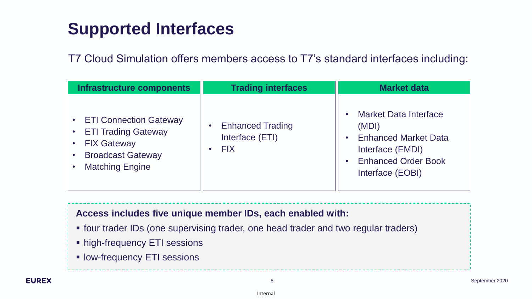# **Supported Interfaces**

T7 Cloud Simulation offers members access to T7's standard interfaces including:

| Infrastructure components                                                                                                               | <b>Trading interfaces</b>                                | <b>Market data</b>                                                                                                                         |
|-----------------------------------------------------------------------------------------------------------------------------------------|----------------------------------------------------------|--------------------------------------------------------------------------------------------------------------------------------------------|
| <b>ETI Connection Gateway</b><br><b>ETI Trading Gateway</b><br><b>FIX Gateway</b><br><b>Broadcast Gateway</b><br><b>Matching Engine</b> | <b>Enhanced Trading</b><br>Interface (ETI)<br><b>FIX</b> | <b>Market Data Interface</b><br>(MDI)<br><b>Enhanced Market Data</b><br>Interface (EMDI)<br><b>Enhanced Order Book</b><br>Interface (EOBI) |

#### **Access includes five unique member IDs, each enabled with:**

- **four trader IDs (one supervising trader, one head trader and two regular traders)**
- **EXALGE High-frequency ETI sessions**
- **EXEL SESSIONS**

5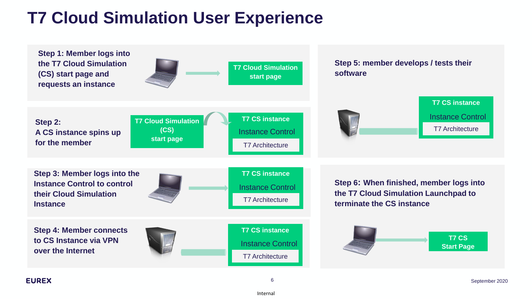# **T7 Cloud Simulation User Experience**



**EUREX**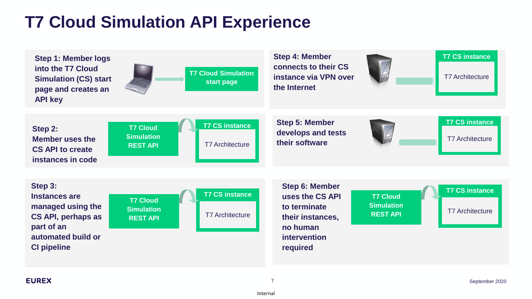### **T7 Cloud Simulation API Experience**

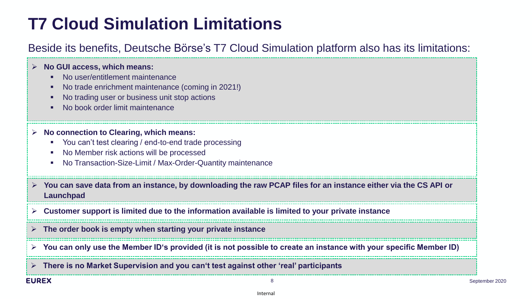### **T7 Cloud Simulation Limitations**

#### Beside its benefits, Deutsche Börse's T7 Cloud Simulation platform also has its limitations:

|              | $\triangleright$ No GUI access, which means:<br>No user/entitlement maintenance<br>No trade enrichment maintenance (coming in 2021!)<br>No trading user or business unit stop actions<br>No book order limit maintenance |                |
|--------------|--------------------------------------------------------------------------------------------------------------------------------------------------------------------------------------------------------------------------|----------------|
|              | No connection to Clearing, which means:<br>You can't test clearing / end-to-end trade processing<br>No Member risk actions will be processed<br>No Transaction-Size-Limit / Max-Order-Quantity maintenance               |                |
|              | $\triangleright$ You can save data from an instance, by downloading the raw PCAP files for an instance either via the CS API or<br>Launchpad                                                                             |                |
|              | $\triangleright$ Customer support is limited due to the information available is limited to your private instance                                                                                                        |                |
|              | $\triangleright$ The order book is empty when starting your private instance                                                                                                                                             |                |
|              | $\triangleright$ You can only use the Member ID's provided (it is not possible to create an instance with your specific Member ID)                                                                                       |                |
|              | $\triangleright$ There is no Market Supervision and you can't test against other 'real' participants                                                                                                                     |                |
| <b>EUREX</b> |                                                                                                                                                                                                                          | September 2020 |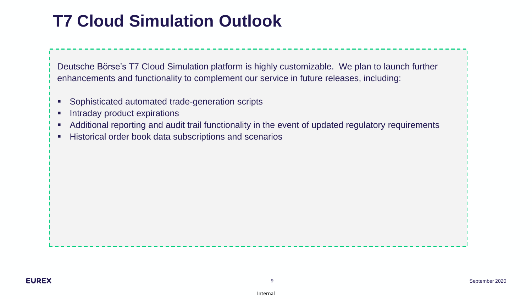### **T7 Cloud Simulation Outlook**

Deutsche Börse's T7 Cloud Simulation platform is highly customizable. We plan to launch further enhancements and functionality to complement our service in future releases, including:

- Sophisticated automated trade-generation scripts
- Intraday product expirations
- Additional reporting and audit trail functionality in the event of updated regulatory requirements
- **EXECT:** Historical order book data subscriptions and scenarios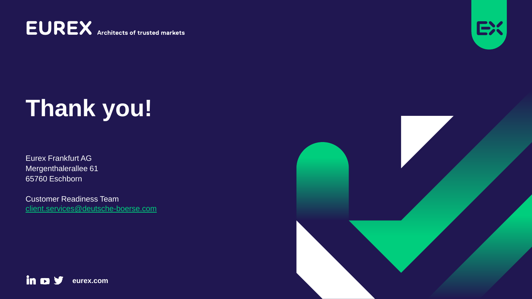**EUREX** Architects of trusted markets



# **Thank you!**

Eurex Frankfurt AG Mergenthalerallee 61 65760 Eschborn

Customer Readiness Team [client.services@deutsche-boerse.com](mailto:cliet.services@deutsche-boerse.com)



in o y **eurex.com**